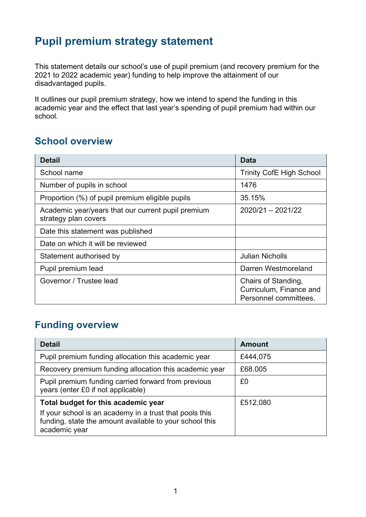# **Pupil premium strategy statement**

This statement details our school's use of pupil premium (and recovery premium for the 2021 to 2022 academic year) funding to help improve the attainment of our disadvantaged pupils.

It outlines our pupil premium strategy, how we intend to spend the funding in this academic year and the effect that last year's spending of pupil premium had within our school.

## **School overview**

| <b>Detail</b>                                                              | <b>Data</b>                                                             |  |
|----------------------------------------------------------------------------|-------------------------------------------------------------------------|--|
| School name                                                                | <b>Trinity CofE High School</b>                                         |  |
| Number of pupils in school                                                 | 1476                                                                    |  |
| Proportion (%) of pupil premium eligible pupils                            | 35.15%                                                                  |  |
| Academic year/years that our current pupil premium<br>strategy plan covers | $2020/21 - 2021/22$                                                     |  |
| Date this statement was published                                          |                                                                         |  |
| Date on which it will be reviewed                                          |                                                                         |  |
| Statement authorised by                                                    | <b>Julian Nicholls</b>                                                  |  |
| Pupil premium lead                                                         | Darren Westmoreland                                                     |  |
| Governor / Trustee lead                                                    | Chairs of Standing,<br>Curriculum, Finance and<br>Personnel committees. |  |

## **Funding overview**

| <b>Detail</b>                                                                                                                       | <b>Amount</b> |
|-------------------------------------------------------------------------------------------------------------------------------------|---------------|
| Pupil premium funding allocation this academic year                                                                                 | £444,075      |
| Recovery premium funding allocation this academic year                                                                              | £68.005       |
| Pupil premium funding carried forward from previous<br>years (enter £0 if not applicable)                                           | £0            |
| Total budget for this academic year                                                                                                 | £512,080      |
| If your school is an academy in a trust that pools this<br>funding, state the amount available to your school this<br>academic year |               |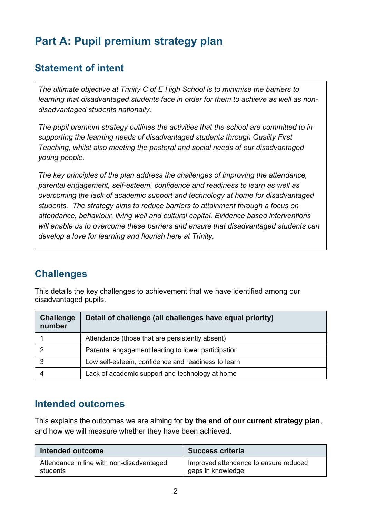# **Part A: Pupil premium strategy plan**

## **Statement of intent**

*The ultimate objective at Trinity C of E High School is to minimise the barriers to learning that disadvantaged students face in order for them to achieve as well as nondisadvantaged students nationally.* 

*The pupil premium strategy outlines the activities that the school are committed to in supporting the learning needs of disadvantaged students through Quality First Teaching, whilst also meeting the pastoral and social needs of our disadvantaged young people.* 

*The key principles of the plan address the challenges of improving the attendance, parental engagement, self-esteem, confidence and readiness to learn as well as overcoming the lack of academic support and technology at home for disadvantaged students. The strategy aims to reduce barriers to attainment through a focus on attendance, behaviour, living well and cultural capital. Evidence based interventions will enable us to overcome these barriers and ensure that disadvantaged students can develop a love for learning and flourish here at Trinity.*

## **Challenges**

This details the key challenges to achievement that we have identified among our disadvantaged pupils.

| <b>Challenge</b><br>number | Detail of challenge (all challenges have equal priority) |  |
|----------------------------|----------------------------------------------------------|--|
|                            | Attendance (those that are persistently absent)          |  |
|                            | Parental engagement leading to lower participation       |  |
|                            | Low self-esteem, confidence and readiness to learn       |  |
|                            | Lack of academic support and technology at home          |  |

## **Intended outcomes**

This explains the outcomes we are aiming for **by the end of our current strategy plan**, and how we will measure whether they have been achieved.

| Intended outcome                          | <b>Success criteria</b>               |  |
|-------------------------------------------|---------------------------------------|--|
| Attendance in line with non-disadvantaged | Improved attendance to ensure reduced |  |
| students                                  | gaps in knowledge                     |  |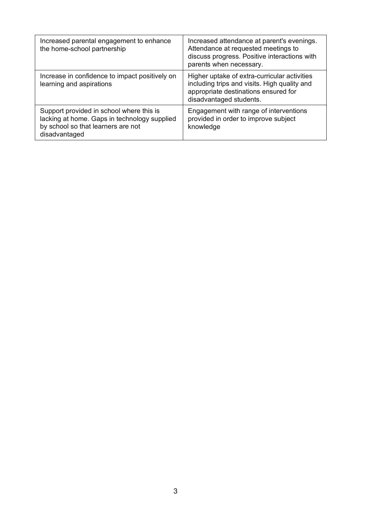| Increased parental engagement to enhance<br>the home-school partnership                                                                         | Increased attendance at parent's evenings.<br>Attendance at requested meetings to<br>discuss progress. Positive interactions with<br>parents when necessary.    |
|-------------------------------------------------------------------------------------------------------------------------------------------------|-----------------------------------------------------------------------------------------------------------------------------------------------------------------|
| Increase in confidence to impact positively on<br>learning and aspirations                                                                      | Higher uptake of extra-curricular activities<br>including trips and visits. High quality and<br>appropriate destinations ensured for<br>disadvantaged students. |
| Support provided in school where this is<br>lacking at home. Gaps in technology supplied<br>by school so that learners are not<br>disadvantaged | Engagement with range of interventions<br>provided in order to improve subject<br>knowledge                                                                     |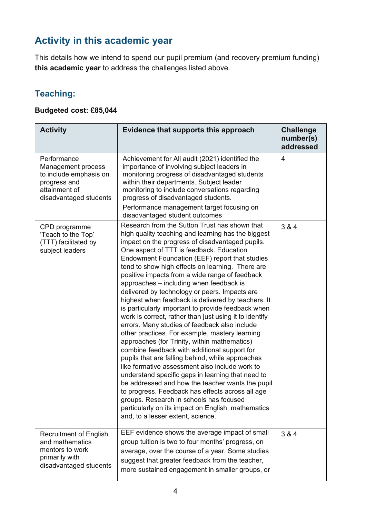## **Activity in this academic year**

This details how we intend to spend our pupil premium (and recovery premium funding) **this academic year** to address the challenges listed above.

## **Teaching:**

#### **Budgeted cost: £85,044**

| <b>Activity</b>                                                                                                        | Evidence that supports this approach                                                                                                                                                                                                                                                                                                                                                                                                                                                                                                                                                                                                                                                                                                                                                                                                                                                                                                                                                                                                                                                                                                                                                                                                     | <b>Challenge</b><br>number(s)<br>addressed |
|------------------------------------------------------------------------------------------------------------------------|------------------------------------------------------------------------------------------------------------------------------------------------------------------------------------------------------------------------------------------------------------------------------------------------------------------------------------------------------------------------------------------------------------------------------------------------------------------------------------------------------------------------------------------------------------------------------------------------------------------------------------------------------------------------------------------------------------------------------------------------------------------------------------------------------------------------------------------------------------------------------------------------------------------------------------------------------------------------------------------------------------------------------------------------------------------------------------------------------------------------------------------------------------------------------------------------------------------------------------------|--------------------------------------------|
| Performance<br>Management process<br>to include emphasis on<br>progress and<br>attainment of<br>disadvantaged students | Achievement for All audit (2021) identified the<br>importance of involving subject leaders in<br>monitoring progress of disadvantaged students<br>within their departments. Subject leader<br>monitoring to include conversations regarding<br>progress of disadvantaged students.<br>Performance management target focusing on<br>disadvantaged student outcomes                                                                                                                                                                                                                                                                                                                                                                                                                                                                                                                                                                                                                                                                                                                                                                                                                                                                        | 4                                          |
| CPD programme<br>'Teach to the Top'<br>(TTT) facilitated by<br>subject leaders                                         | Research from the Sutton Trust has shown that<br>high quality teaching and learning has the biggest<br>impact on the progress of disadvantaged pupils.<br>One aspect of TTT is feedback. Education<br>Endowment Foundation (EEF) report that studies<br>tend to show high effects on learning. There are<br>positive impacts from a wide range of feedback<br>approaches - including when feedback is<br>delivered by technology or peers. Impacts are<br>highest when feedback is delivered by teachers. It<br>is particularly important to provide feedback when<br>work is correct, rather than just using it to identify<br>errors. Many studies of feedback also include<br>other practices. For example, mastery learning<br>approaches (for Trinity, within mathematics)<br>combine feedback with additional support for<br>pupils that are falling behind, while approaches<br>like formative assessment also include work to<br>understand specific gaps in learning that need to<br>be addressed and how the teacher wants the pupil<br>to progress. Feedback has effects across all age<br>groups. Research in schools has focused<br>particularly on its impact on English, mathematics<br>and, to a lesser extent, science. | 3 & 4                                      |
| <b>Recruitment of English</b><br>and mathematics<br>mentors to work<br>primarily with<br>disadvantaged students        | EEF evidence shows the average impact of small<br>group tuition is two to four months' progress, on<br>average, over the course of a year. Some studies<br>suggest that greater feedback from the teacher,<br>more sustained engagement in smaller groups, or                                                                                                                                                                                                                                                                                                                                                                                                                                                                                                                                                                                                                                                                                                                                                                                                                                                                                                                                                                            | 3 & 4                                      |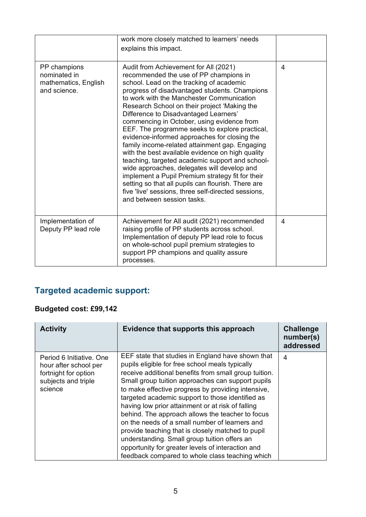|                                                                      | work more closely matched to learners' needs<br>explains this impact.                                                                                                                                                                                                                                                                                                                                                                                                                                                                                                                                                                                                                                                                                                                                                                                                     |   |
|----------------------------------------------------------------------|---------------------------------------------------------------------------------------------------------------------------------------------------------------------------------------------------------------------------------------------------------------------------------------------------------------------------------------------------------------------------------------------------------------------------------------------------------------------------------------------------------------------------------------------------------------------------------------------------------------------------------------------------------------------------------------------------------------------------------------------------------------------------------------------------------------------------------------------------------------------------|---|
| PP champions<br>nominated in<br>mathematics, English<br>and science. | Audit from Achievement for All (2021)<br>recommended the use of PP champions in<br>school. Lead on the tracking of academic<br>progress of disadvantaged students. Champions<br>to work with the Manchester Communication<br>Research School on their project 'Making the<br>Difference to Disadvantaged Learners'<br>commencing in October, using evidence from<br>EEF. The programme seeks to explore practical,<br>evidence-informed approaches for closing the<br>family income-related attainment gap. Engaging<br>with the best available evidence on high quality<br>teaching, targeted academic support and school-<br>wide approaches, delegates will develop and<br>implement a Pupil Premium strategy fit for their<br>setting so that all pupils can flourish. There are<br>five 'live' sessions, three self-directed sessions,<br>and between session tasks. | 4 |
| Implementation of<br>Deputy PP lead role                             | Achievement for All audit (2021) recommended<br>raising profile of PP students across school.<br>Implementation of deputy PP lead role to focus<br>on whole-school pupil premium strategies to<br>support PP champions and quality assure<br>processes.                                                                                                                                                                                                                                                                                                                                                                                                                                                                                                                                                                                                                   | 4 |

## **Targeted academic support:**

## **Budgeted cost: £99,142**

| <b>Activity</b>                                                                                             | Evidence that supports this approach                                                                                                                                                                                                                                                                                                                                                                                                                                                                                                                                                                                                                                                                 | <b>Challenge</b><br>number(s)<br>addressed |
|-------------------------------------------------------------------------------------------------------------|------------------------------------------------------------------------------------------------------------------------------------------------------------------------------------------------------------------------------------------------------------------------------------------------------------------------------------------------------------------------------------------------------------------------------------------------------------------------------------------------------------------------------------------------------------------------------------------------------------------------------------------------------------------------------------------------------|--------------------------------------------|
| Period 6 Initiative, One<br>hour after school per<br>fortnight for option<br>subjects and triple<br>science | EEF state that studies in England have shown that<br>pupils eligible for free school meals typically<br>receive additional benefits from small group tuition.<br>Small group tuition approaches can support pupils<br>to make effective progress by providing intensive,<br>targeted academic support to those identified as<br>having low prior attainment or at risk of falling<br>behind. The approach allows the teacher to focus<br>on the needs of a small number of learners and<br>provide teaching that is closely matched to pupil<br>understanding. Small group tuition offers an<br>opportunity for greater levels of interaction and<br>feedback compared to whole class teaching which | 4                                          |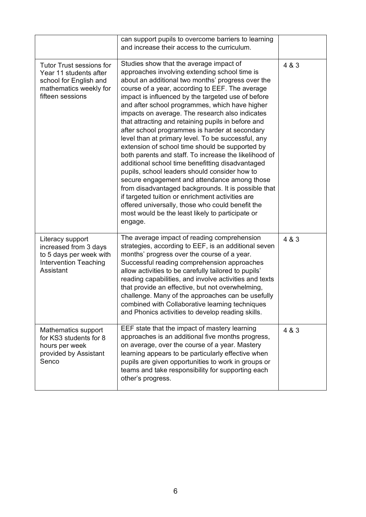|                                                                                                                                   | can support pupils to overcome barriers to learning<br>and increase their access to the curriculum.                                                                                                                                                                                                                                                                                                                                                                                                                                                                                                                                                                                                                                                                                                                                                                                                                                                                                                                      |       |
|-----------------------------------------------------------------------------------------------------------------------------------|--------------------------------------------------------------------------------------------------------------------------------------------------------------------------------------------------------------------------------------------------------------------------------------------------------------------------------------------------------------------------------------------------------------------------------------------------------------------------------------------------------------------------------------------------------------------------------------------------------------------------------------------------------------------------------------------------------------------------------------------------------------------------------------------------------------------------------------------------------------------------------------------------------------------------------------------------------------------------------------------------------------------------|-------|
| <b>Tutor Trust sessions for</b><br>Year 11 students after<br>school for English and<br>mathematics weekly for<br>fifteen sessions | Studies show that the average impact of<br>approaches involving extending school time is<br>about an additional two months' progress over the<br>course of a year, according to EEF. The average<br>impact is influenced by the targeted use of before<br>and after school programmes, which have higher<br>impacts on average. The research also indicates<br>that attracting and retaining pupils in before and<br>after school programmes is harder at secondary<br>level than at primary level. To be successful, any<br>extension of school time should be supported by<br>both parents and staff. To increase the likelihood of<br>additional school time benefitting disadvantaged<br>pupils, school leaders should consider how to<br>secure engagement and attendance among those<br>from disadvantaged backgrounds. It is possible that<br>if targeted tuition or enrichment activities are<br>offered universally, those who could benefit the<br>most would be the least likely to participate or<br>engage. | 4 & 3 |
| Literacy support<br>increased from 3 days<br>to 5 days per week with<br><b>Intervention Teaching</b><br>Assistant                 | The average impact of reading comprehension<br>strategies, according to EEF, is an additional seven<br>months' progress over the course of a year.<br>Successful reading comprehension approaches<br>allow activities to be carefully tailored to pupils'<br>reading capabilities, and involve activities and texts<br>that provide an effective, but not overwhelming,<br>challenge. Many of the approaches can be usefully<br>combined with Collaborative learning techniques<br>and Phonics activities to develop reading skills.                                                                                                                                                                                                                                                                                                                                                                                                                                                                                     | 4 & 3 |
| Mathematics support<br>for KS3 students for 8<br>hours per week<br>provided by Assistant<br>Senco                                 | EEF state that the impact of mastery learning<br>approaches is an additional five months progress,<br>on average, over the course of a year. Mastery<br>learning appears to be particularly effective when<br>pupils are given opportunities to work in groups or<br>teams and take responsibility for supporting each<br>other's progress.                                                                                                                                                                                                                                                                                                                                                                                                                                                                                                                                                                                                                                                                              | 4 & 3 |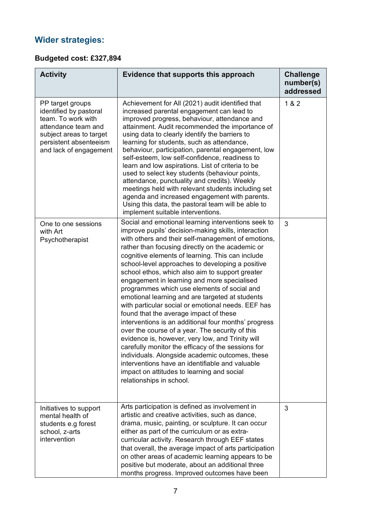## **Wider strategies:**

### **Budgeted cost: £327,894**

| <b>Activity</b>                                                                                                                                                        | Evidence that supports this approach                                                                                                                                                                                                                                                                                                                                                                                                                                                                                                                                                                                                                                                                                                                                                                                                                                                                                                                                                                                                  | <b>Challenge</b><br>number(s)<br>addressed |
|------------------------------------------------------------------------------------------------------------------------------------------------------------------------|---------------------------------------------------------------------------------------------------------------------------------------------------------------------------------------------------------------------------------------------------------------------------------------------------------------------------------------------------------------------------------------------------------------------------------------------------------------------------------------------------------------------------------------------------------------------------------------------------------------------------------------------------------------------------------------------------------------------------------------------------------------------------------------------------------------------------------------------------------------------------------------------------------------------------------------------------------------------------------------------------------------------------------------|--------------------------------------------|
| PP target groups<br>identified by pastoral<br>team. To work with<br>attendance team and<br>subject areas to target<br>persistent absenteeism<br>and lack of engagement | Achievement for All (2021) audit identified that<br>increased parental engagement can lead to<br>improved progress, behaviour, attendance and<br>attainment. Audit recommended the importance of<br>using data to clearly identify the barriers to<br>learning for students, such as attendance,<br>behaviour, participation, parental engagement, low<br>self-esteem, low self-confidence, readiness to<br>learn and low aspirations. List of criteria to be<br>used to select key students (behaviour points,<br>attendance, punctuality and credits). Weekly<br>meetings held with relevant students including set<br>agenda and increased engagement with parents.<br>Using this data, the pastoral team will be able to<br>implement suitable interventions.                                                                                                                                                                                                                                                                     | 1 & 2                                      |
| One to one sessions<br>with Art<br>Psychotherapist                                                                                                                     | Social and emotional learning interventions seek to<br>improve pupils' decision-making skills, interaction<br>with others and their self-management of emotions,<br>rather than focusing directly on the academic or<br>cognitive elements of learning. This can include<br>school-level approaches to developing a positive<br>school ethos, which also aim to support greater<br>engagement in learning and more specialised<br>programmes which use elements of social and<br>emotional learning and are targeted at students<br>with particular social or emotional needs. EEF has<br>found that the average impact of these<br>interventions is an additional four months' progress<br>over the course of a year. The security of this<br>evidence is, however, very low, and Trinity will<br>carefully monitor the efficacy of the sessions for<br>individuals. Alongside academic outcomes, these<br>interventions have an identifiable and valuable<br>impact on attitudes to learning and social<br>relationships in school. | 3                                          |
| Initiatives to support<br>mental health of<br>students e.g forest<br>school, z-arts<br>intervention                                                                    | Arts participation is defined as involvement in<br>artistic and creative activities, such as dance,<br>drama, music, painting, or sculpture. It can occur<br>either as part of the curriculum or as extra-<br>curricular activity. Research through EEF states<br>that overall, the average impact of arts participation<br>on other areas of academic learning appears to be<br>positive but moderate, about an additional three<br>months progress. Improved outcomes have been                                                                                                                                                                                                                                                                                                                                                                                                                                                                                                                                                     | 3                                          |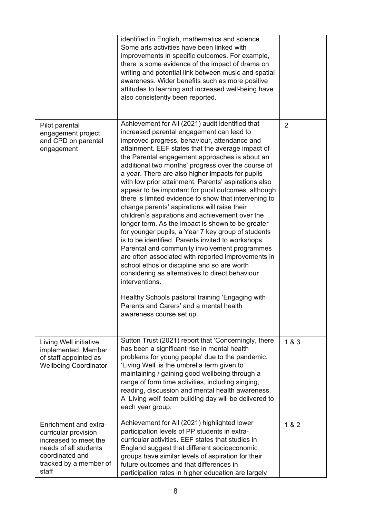|                                                                                                                                                       | identified in English, mathematics and science.<br>Some arts activities have been linked with<br>improvements in specific outcomes. For example,<br>there is some evidence of the impact of drama on<br>writing and potential link between music and spatial<br>awareness. Wider benefits such as more positive<br>attitudes to learning and increased well-being have<br>also consistently been reported.                                                                                                                                                                                                                                                                                                                                                                                                                                                                                                                                                                                                                                                                                                                                                       |                |
|-------------------------------------------------------------------------------------------------------------------------------------------------------|------------------------------------------------------------------------------------------------------------------------------------------------------------------------------------------------------------------------------------------------------------------------------------------------------------------------------------------------------------------------------------------------------------------------------------------------------------------------------------------------------------------------------------------------------------------------------------------------------------------------------------------------------------------------------------------------------------------------------------------------------------------------------------------------------------------------------------------------------------------------------------------------------------------------------------------------------------------------------------------------------------------------------------------------------------------------------------------------------------------------------------------------------------------|----------------|
| Pilot parental<br>engagement project<br>and CPD on parental<br>engagement                                                                             | Achievement for All (2021) audit identified that<br>increased parental engagement can lead to<br>improved progress, behaviour, attendance and<br>attainment. EEF states that the average impact of<br>the Parental engagement approaches is about an<br>additional two months' progress over the course of<br>a year. There are also higher impacts for pupils<br>with low prior attainment. Parents' aspirations also<br>appear to be important for pupil outcomes, although<br>there is limited evidence to show that intervening to<br>change parents' aspirations will raise their<br>children's aspirations and achievement over the<br>longer term. As the impact is shown to be greater<br>for younger pupils, a Year 7 key group of students<br>is to be identified. Parents invited to workshops.<br>Parental and community involvement programmes<br>are often associated with reported improvements in<br>school ethos or discipline and so are worth<br>considering as alternatives to direct behaviour<br>interventions.<br>Healthy Schools pastoral training 'Engaging with<br>Parents and Carers' and a mental health<br>awareness course set up. | $\overline{2}$ |
| Living Well initiative<br>implemented. Member<br>of staff appointed as<br><b>Wellbeing Coordinator</b>                                                | Sutton Trust (2021) report that 'Concerningly, there<br>has been a significant rise in mental health<br>problems for young people' due to the pandemic.<br>'Living Well' is the umbrella term given to<br>maintaining / gaining good wellbeing through a<br>range of form time activities, including singing,<br>reading, discussion and mental health awareness.<br>A 'Living well' team building day will be delivered to<br>each year group.                                                                                                                                                                                                                                                                                                                                                                                                                                                                                                                                                                                                                                                                                                                  | 1 & 3          |
| Enrichment and extra-<br>curricular provision<br>increased to meet the<br>needs of all students<br>coordinated and<br>tracked by a member of<br>staff | Achievement for All (2021) highlighted lower<br>participation levels of PP students in extra-<br>curricular activities. EEF states that studies in<br>England suggest that different socioeconomic<br>groups have similar levels of aspiration for their<br>future outcomes and that differences in<br>participation rates in higher education are largely                                                                                                                                                                                                                                                                                                                                                                                                                                                                                                                                                                                                                                                                                                                                                                                                       | 1 & 2          |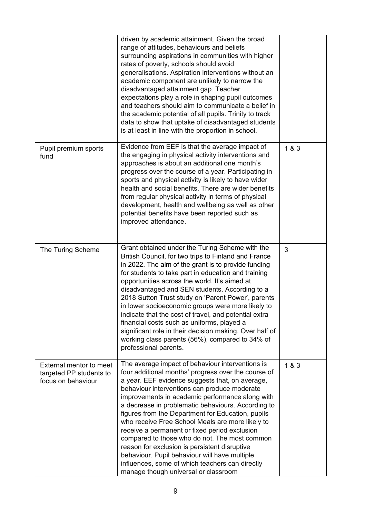|                                                                                 | driven by academic attainment. Given the broad<br>range of attitudes, behaviours and beliefs<br>surrounding aspirations in communities with higher<br>rates of poverty, schools should avoid<br>generalisations. Aspiration interventions without an<br>academic component are unlikely to narrow the<br>disadvantaged attainment gap. Teacher<br>expectations play a role in shaping pupil outcomes<br>and teachers should aim to communicate a belief in<br>the academic potential of all pupils. Trinity to track<br>data to show that uptake of disadvantaged students<br>is at least in line with the proportion in school.                                                                                            |       |
|---------------------------------------------------------------------------------|-----------------------------------------------------------------------------------------------------------------------------------------------------------------------------------------------------------------------------------------------------------------------------------------------------------------------------------------------------------------------------------------------------------------------------------------------------------------------------------------------------------------------------------------------------------------------------------------------------------------------------------------------------------------------------------------------------------------------------|-------|
| Pupil premium sports<br>fund                                                    | Evidence from EEF is that the average impact of<br>the engaging in physical activity interventions and<br>approaches is about an additional one month's<br>progress over the course of a year. Participating in<br>sports and physical activity is likely to have wider<br>health and social benefits. There are wider benefits<br>from regular physical activity in terms of physical<br>development, health and wellbeing as well as other<br>potential benefits have been reported such as<br>improved attendance.                                                                                                                                                                                                       | 1&8&3 |
| The Turing Scheme                                                               | Grant obtained under the Turing Scheme with the<br>British Council, for two trips to Finland and France<br>in 2022. The aim of the grant is to provide funding<br>for students to take part in education and training<br>opportunities across the world. It's aimed at<br>disadvantaged and SEN students. According to a<br>2018 Sutton Trust study on 'Parent Power', parents<br>in lower socioeconomic groups were more likely to<br>indicate that the cost of travel, and potential extra<br>financial costs such as uniforms, played a<br>significant role in their decision making. Over half of<br>working class parents (56%), compared to 34% of<br>professional parents.                                           | 3     |
| <b>External mentor to meet</b><br>targeted PP students to<br>focus on behaviour | The average impact of behaviour interventions is<br>four additional months' progress over the course of<br>a year. EEF evidence suggests that, on average,<br>behaviour interventions can produce moderate<br>improvements in academic performance along with<br>a decrease in problematic behaviours. According to<br>figures from the Department for Education, pupils<br>who receive Free School Meals are more likely to<br>receive a permanent or fixed period exclusion<br>compared to those who do not. The most common<br>reason for exclusion is persistent disruptive<br>behaviour. Pupil behaviour will have multiple<br>influences, some of which teachers can directly<br>manage though universal or classroom | 1&8&3 |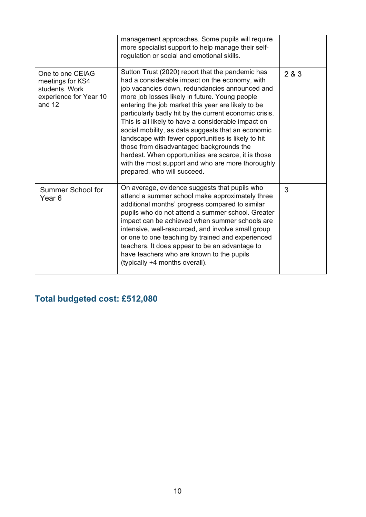|                                                                                              | management approaches. Some pupils will require<br>more specialist support to help manage their self-<br>regulation or social and emotional skills.                                                                                                                                                                                                                                                                                                                                                                                                                                                                                                                               |       |
|----------------------------------------------------------------------------------------------|-----------------------------------------------------------------------------------------------------------------------------------------------------------------------------------------------------------------------------------------------------------------------------------------------------------------------------------------------------------------------------------------------------------------------------------------------------------------------------------------------------------------------------------------------------------------------------------------------------------------------------------------------------------------------------------|-------|
| One to one CEIAG<br>meetings for KS4<br>students. Work<br>experience for Year 10<br>and $12$ | Sutton Trust (2020) report that the pandemic has<br>had a considerable impact on the economy, with<br>job vacancies down, redundancies announced and<br>more job losses likely in future. Young people<br>entering the job market this year are likely to be<br>particularly badly hit by the current economic crisis.<br>This is all likely to have a considerable impact on<br>social mobility, as data suggests that an economic<br>landscape with fewer opportunities is likely to hit<br>those from disadvantaged backgrounds the<br>hardest. When opportunities are scarce, it is those<br>with the most support and who are more thoroughly<br>prepared, who will succeed. | 2 & 3 |
| <b>Summer School for</b><br>Year 6                                                           | On average, evidence suggests that pupils who<br>attend a summer school make approximately three<br>additional months' progress compared to similar<br>pupils who do not attend a summer school. Greater<br>impact can be achieved when summer schools are<br>intensive, well-resourced, and involve small group<br>or one to one teaching by trained and experienced<br>teachers. It does appear to be an advantage to<br>have teachers who are known to the pupils<br>(typically +4 months overall).                                                                                                                                                                            | 3     |

## **Total budgeted cost: £512,080**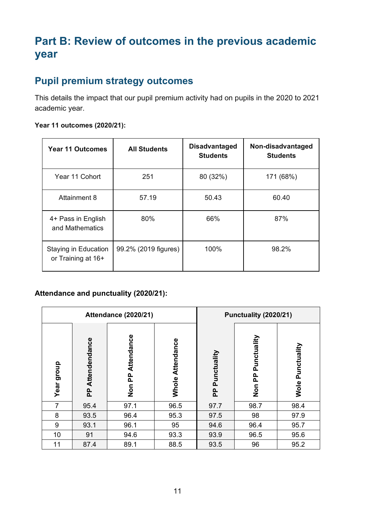# **Part B: Review of outcomes in the previous academic year**

## **Pupil premium strategy outcomes**

This details the impact that our pupil premium activity had on pupils in the 2020 to 2021 academic year.

#### **Year 11 outcomes (2020/21):**

| <b>Year 11 Outcomes</b>                    | <b>All Students</b>  | <b>Disadvantaged</b><br><b>Students</b> | Non-disadvantaged<br><b>Students</b> |
|--------------------------------------------|----------------------|-----------------------------------------|--------------------------------------|
| Year 11 Cohort                             | 251                  | 80 (32%)                                | 171 (68%)                            |
| Attainment 8                               | 57.19                | 50.43                                   | 60.40                                |
| 4+ Pass in English<br>and Mathematics      | 80%                  | 66%                                     | 87%                                  |
| Staying in Education<br>or Training at 16+ | 99.2% (2019 figures) | 100%                                    | 98.2%                                |

#### **Attendance and punctuality (2020/21):**

| <b>Attendance (2020/21)</b> |                    |                      | Punctuality (2020/21) |                  |                                          |                     |
|-----------------------------|--------------------|----------------------|-----------------------|------------------|------------------------------------------|---------------------|
| Year group                  | Attendendance<br>운 | Attendance<br>Non PP | Whole Attendance      | Punctuality<br>운 | Punctuality<br><u>բ</u><br>$\frac{c}{2}$ | Punctuality<br>Wole |
| $\overline{7}$              | 95.4               | 97.1                 | 96.5                  | 97.7             | 98.7                                     | 98.4                |
| 8                           | 93.5               | 96.4                 | 95.3                  | 97.5             | 98                                       | 97.9                |
| 9                           | 93.1               | 96.1                 | 95                    | 94.6             | 96.4                                     | 95.7                |
| 10                          | 91                 | 94.6                 | 93.3                  | 93.9             | 96.5                                     | 95.6                |
| 11                          | 87.4               | 89.1                 | 88.5                  | 93.5             | 96                                       | 95.2                |